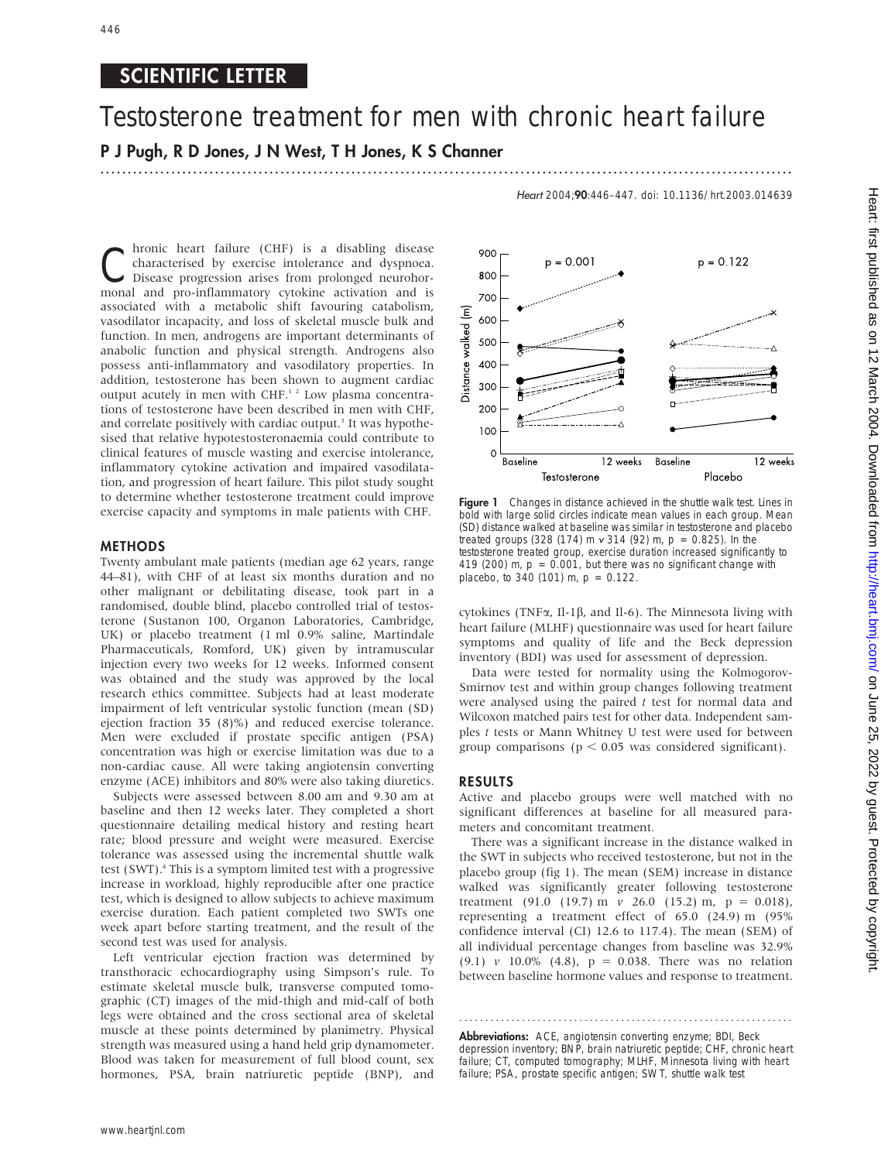# SCIENTIFIC LETTER

# Testosterone treatment for men with chronic heart failure P J Pugh, R D Jones, J N West, T H Jones, K S Channer .............................................................................................................................. .

Heart 2004;90:446–447. doi: 10.1136/hrt.2003.014639

**Chronic heart failure (CHF) is a disabling disease**<br>
Disease progression arises from prolonged neurohor-<br>
monal and are inflammatery cytokine activation and is characterised by exercise intolerance and dyspnoea. monal and pro-inflammatory cytokine activation and is associated with a metabolic shift favouring catabolism, vasodilator incapacity, and loss of skeletal muscle bulk and function. In men, androgens are important determinants of anabolic function and physical strength. Androgens also possess anti-inflammatory and vasodilatory properties. In addition, testosterone has been shown to augment cardiac output acutely in men with CHF.1 2 Low plasma concentrations of testosterone have been described in men with CHF, and correlate positively with cardiac output.<sup>3</sup> It was hypothesised that relative hypotestosteronaemia could contribute to clinical features of muscle wasting and exercise intolerance, inflammatory cytokine activation and impaired vasodilatation, and progression of heart failure. This pilot study sought to determine whether testosterone treatment could improve exercise capacity and symptoms in male patients with CHF.

# METHODS

Twenty ambulant male patients (median age 62 years, range 44–81), with CHF of at least six months duration and no other malignant or debilitating disease, took part in a randomised, double blind, placebo controlled trial of testosterone (Sustanon 100, Organon Laboratories, Cambridge, UK) or placebo treatment (1 ml 0.9% saline, Martindale Pharmaceuticals, Romford, UK) given by intramuscular injection every two weeks for 12 weeks. Informed consent was obtained and the study was approved by the local research ethics committee. Subjects had at least moderate impairment of left ventricular systolic function (mean (SD) ejection fraction 35 (8)%) and reduced exercise tolerance. Men were excluded if prostate specific antigen (PSA) concentration was high or exercise limitation was due to a non-cardiac cause. All were taking angiotensin converting enzyme (ACE) inhibitors and 80% were also taking diuretics.

Subjects were assessed between 8.00 am and 9.30 am at baseline and then 12 weeks later. They completed a short questionnaire detailing medical history and resting heart rate; blood pressure and weight were measured. Exercise tolerance was assessed using the incremental shuttle walk test (SWT).<sup>4</sup> This is a symptom limited test with a progressive increase in workload, highly reproducible after one practice test, which is designed to allow subjects to achieve maximum exercise duration. Each patient completed two SWTs one week apart before starting treatment, and the result of the second test was used for analysis.

Left ventricular ejection fraction was determined by transthoracic echocardiography using Simpson's rule. To estimate skeletal muscle bulk, transverse computed tomographic (CT) images of the mid-thigh and mid-calf of both legs were obtained and the cross sectional area of skeletal muscle at these points determined by planimetry. Physical strength was measured using a hand held grip dynamometer. Blood was taken for measurement of full blood count, sex hormones, PSA, brain natriuretic peptide (BNP), and



Figure 1 Changes in distance achieved in the shuttle walk test. Lines in bold with large solid circles indicate mean values in each group. Mean (SD) distance walked at baseline was similar in testosterone and placebo treated groups (328 (174) m  $v$  314 (92) m,  $p = 0.825$ ). In the testosterone treated group, exercise duration increased significantly to 419 (200) m,  $p = 0.001$ , but there was no significant change with placebo, to 340 (101) m,  $p = 0.122$ .

cytokines (TNF $\alpha$ , Il-1 $\beta$ , and Il-6). The Minnesota living with heart failure (MLHF) questionnaire was used for heart failure symptoms and quality of life and the Beck depression inventory (BDI) was used for assessment of depression.

Data were tested for normality using the Kolmogorov-Smirnov test and within group changes following treatment were analysed using the paired  $t$  test for normal data and Wilcoxon matched pairs test for other data. Independent samples t tests or Mann Whitney U test were used for between group comparisons ( $p < 0.05$  was considered significant).

### RESULTS

Active and placebo groups were well matched with no significant differences at baseline for all measured parameters and concomitant treatment.

There was a significant increase in the distance walked in the SWT in subjects who received testosterone, but not in the placebo group (fig 1). The mean (SEM) increase in distance walked was significantly greater following testosterone treatment (91.0 (19.7) m  $v$  26.0 (15.2) m,  $p = 0.018$ ), representing a treatment effect of 65.0 (24.9) m (95% confidence interval (CI) 12.6 to 117.4). The mean (SEM) of all individual percentage changes from baseline was 32.9% (9.1) v 10.0% (4.8),  $p = 0.038$ . There was no relation between baseline hormone values and response to treatment.

Abbreviations: ACE, angiotensin converting enzyme; BDI, Beck depression inventory; BNP, brain natriuretic peptide; CHF, chronic heart failure; CT, computed tomography; MLHF, Minnesota living with heart failure; PSA, prostate specific antigen; SWT, shuttle walk test

............................................................... .